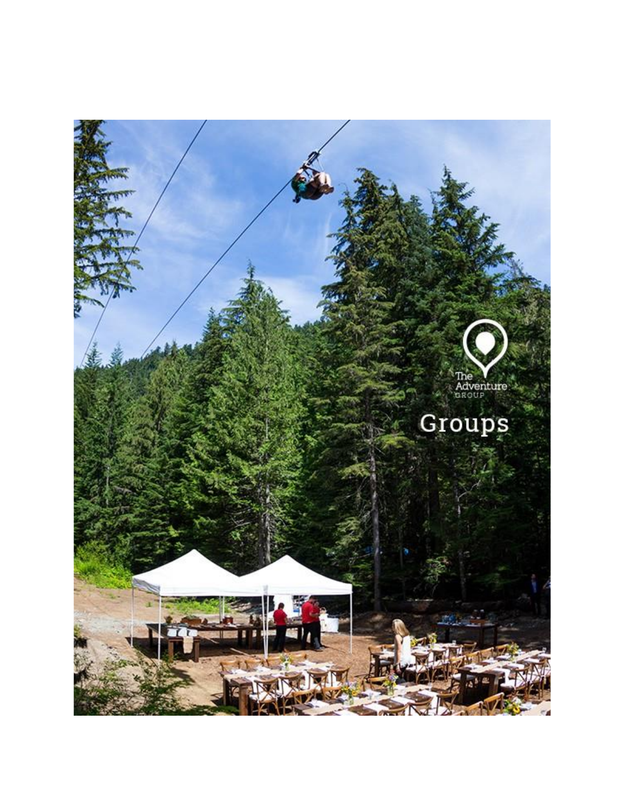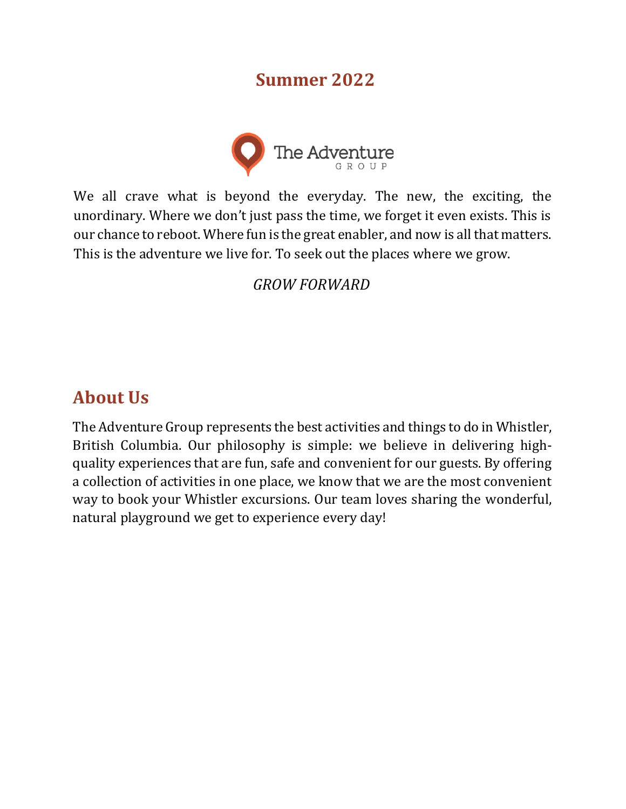## **Summer 2022**



We all crave what is beyond the everyday. The new, the exciting, the unordinary. Where we don't just pass the time, we forget it even exists. This is our chance to reboot. Where fun is the great enabler, and now is all that matters. This is the adventure we live for. To seek out the places where we grow.

## *GROW FORWARD*

# **About Us**

The Adventure Group represents the best activities and things to do in Whistler, British Columbia. Our philosophy is simple: we believe in delivering highquality experiences that are fun, safe and convenient for our guests. By offering a collection of activities in one place, we know that we are the most convenient way to book your Whistler excursions. Our team loves sharing the wonderful, natural playground we get to experience every day!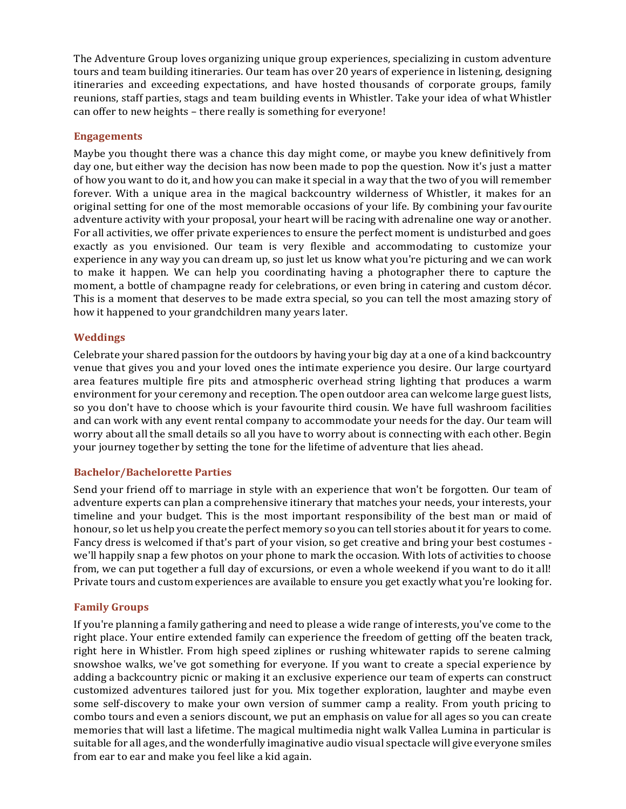The Adventure Group loves organizing unique group experiences, specializing in custom adventure tours and team building itineraries. Our team has over 20 years of experience in listening, designing itineraries and exceeding expectations, and have hosted thousands of corporate groups, family reunions, staff parties, stags and team building events in Whistler. Take your idea of what Whistler can offer to new heights – there really is something for everyone!

#### **Engagements**

Maybe you thought there was a chance this day might come, or maybe you knew definitively from day one, but either way the decision has now been made to pop the question. Now it's just a matter of how you want to do it, and how you can make it special in a way that the two of you will remember forever. With a unique area in the magical backcountry wilderness of Whistler, it makes for an original setting for one of the most memorable occasions of your life. By combining your favourite adventure activity with your proposal, your heart will be racing with adrenaline one way or another. For all activities, we offer private experiences to ensure the perfect moment is undisturbed and goes exactly as you envisioned. Our team is very flexible and accommodating to customize your experience in any way you can dream up, so just let us know what you're picturing and we can work to make it happen. We can help you coordinating having a photographer there to capture the moment, a bottle of champagne ready for celebrations, or even bring in catering and custom décor. This is a moment that deserves to be made extra special, so you can tell the most amazing story of how it happened to your grandchildren many years later.

#### **Weddings**

Celebrate your shared passion for the outdoors by having your big day at a one of a kind backcountry venue that gives you and your loved ones the intimate experience you desire. Our large courtyard area features multiple fire pits and atmospheric overhead string lighting that produces a warm environment for your ceremony and reception. The open outdoor area can welcome large guest lists, so you don't have to choose which is your favourite third cousin. We have full washroom facilities and can work with any event rental company to accommodate your needs for the day. Our team will worry about all the small details so all you have to worry about is connecting with each other. Begin your journey together by setting the tone for the lifetime of adventure that lies ahead.

#### **Bachelor/Bachelorette Parties**

Send your friend off to marriage in style with an experience that won't be forgotten. Our team of adventure experts can plan a comprehensive itinerary that matches your needs, your interests, your timeline and your budget. This is the most important responsibility of the best man or maid of honour, so let us help you create the perfect memory so you can tell stories about it for years to come. Fancy dress is welcomed if that's part of your vision, so get creative and bring your best costumes we'll happily snap a few photos on your phone to mark the occasion. With lots of activities to choose from, we can put together a full day of excursions, or even a whole weekend if you want to do it all! Private tours and custom experiences are available to ensure you get exactly what you're looking for.

#### **Family Groups**

If you're planning a family gathering and need to please a wide range of interests, you've come to the right place. Your entire extended family can experience the freedom of getting off the beaten track, right here in Whistler. From high speed ziplines or rushing whitewater rapids to serene calming snowshoe walks, we've got something for everyone. If you want to create a special experience by adding a backcountry picnic or making it an exclusive experience our team of experts can construct customized adventures tailored just for you. Mix together exploration, laughter and maybe even some self-discovery to make your own version of summer camp a reality. From youth pricing to combo tours and even a seniors discount, we put an emphasis on value for all ages so you can create memories that will last a lifetime. The magical multimedia night walk Vallea Lumina in particular is suitable for all ages, and the wonderfully imaginative audio visual spectacle will give everyone smiles from ear to ear and make you feel like a kid again.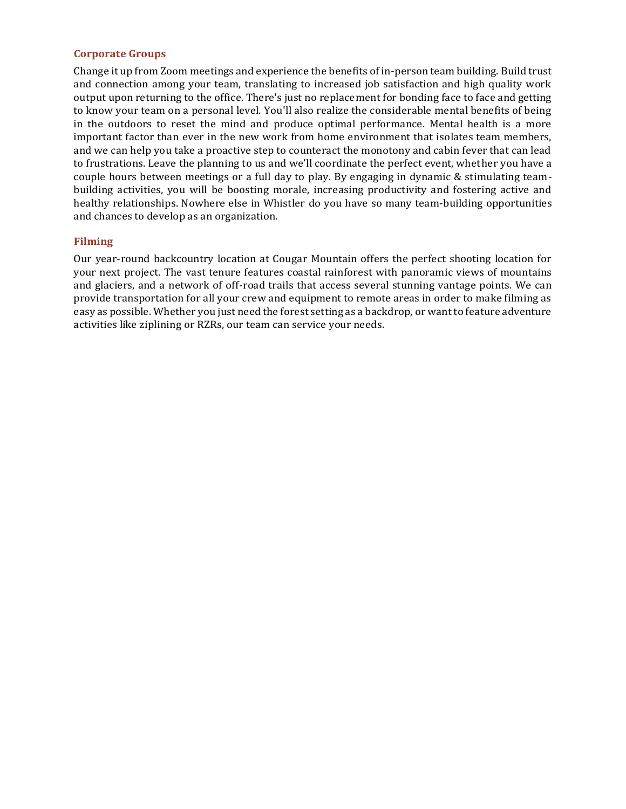#### **Corporate Groups**

Change it up from Zoom meetings and experience the benefits of in-person team building. Build trust and connection among your team, translating to increased job satisfaction and high quality work output upon returning to the office. There's just no replacement for bonding face to face and getting to know your team on a personal level. You'll also realize the considerable mental benefits of being in the outdoors to reset the mind and produce optimal performance. Mental health is a more important factor than ever in the new work from home environment that isolates team members, and we can help you take a proactive step to counteract the monotony and cabin fever that can lead to frustrations. Leave the planning to us and we'll coordinate the perfect event, whether you have a couple hours between meetings or a full day to play. By engaging in dynamic & stimulating teambuilding activities, you will be boosting morale, increasing productivity and fostering active and healthy relationships. Nowhere else in Whistler do you have so many team-building opportunities and chances to develop as an organization.

#### **Filming**

Our year-round backcountry location at Cougar Mountain offers the perfect shooting location for your next project. The vast tenure features coastal rainforest with panoramic views of mountains and glaciers, and a network of off-road trails that access several stunning vantage points. We can provide transportation for all your crew and equipment to remote areas in order to make filming as easy as possible. Whether you just need the forest setting as a backdrop, or want to feature adventure activities like ziplining or RZRs, our team can service your needs.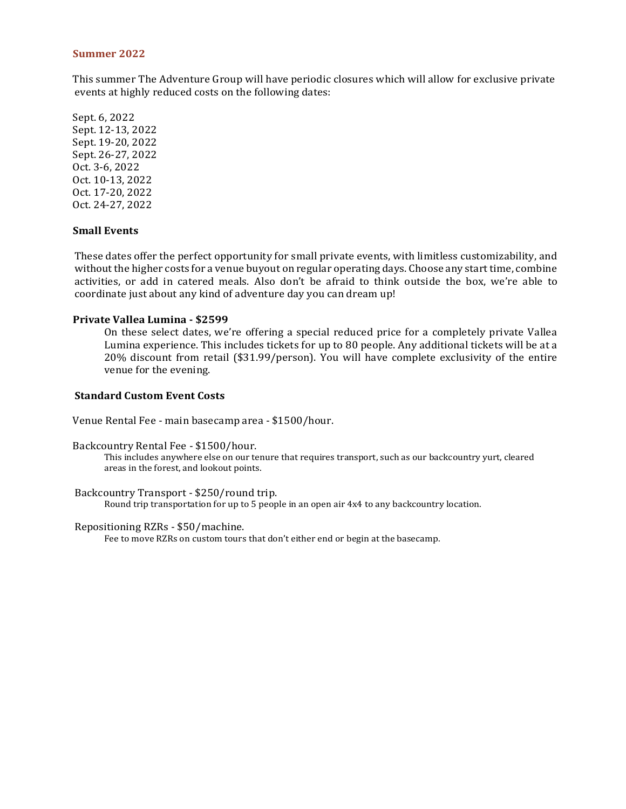#### **Summer 2022**

This summer The Adventure Group will have periodic closures which will allow for exclusive private events at highly reduced costs on the following dates:

Sept. 6, 2022 Sept. 12-13, 2022 Sept. 19-20, 2022 Sept. 26-27, 2022 Oct. 3-6, 2022 Oct. 10-13, 2022 Oct. 17-20, 2022 Oct. 24-27, 2022

#### **Small Events**

These dates offer the perfect opportunity for small private events, with limitless customizability, and without the higher costs for a venue buyout on regular operating days. Choose any start time, combine activities, or add in catered meals. Also don't be afraid to think outside the box, we're able to coordinate just about any kind of adventure day you can dream up!

#### **Private Vallea Lumina - \$2599**

On these select dates, we're offering a special reduced price for a completely private Vallea Lumina experience. This includes tickets for up to 80 people. Any additional tickets will be at a 20% discount from retail (\$31.99/person). You will have complete exclusivity of the entire venue for the evening.

#### **Standard Custom Event Costs**

Venue Rental Fee - main basecamp area - \$1500/hour.

Backcountry Rental Fee - \$1500/hour.

This includes anywhere else on our tenure that requires transport, such as our backcountry yurt, cleared areas in the forest, and lookout points.

Backcountry Transport - \$250/round trip. Round trip transportation for up to 5 people in an open air 4x4 to any backcountry location.

Repositioning RZRs - \$50/machine. Fee to move RZRs on custom tours that don't either end or begin at the basecamp.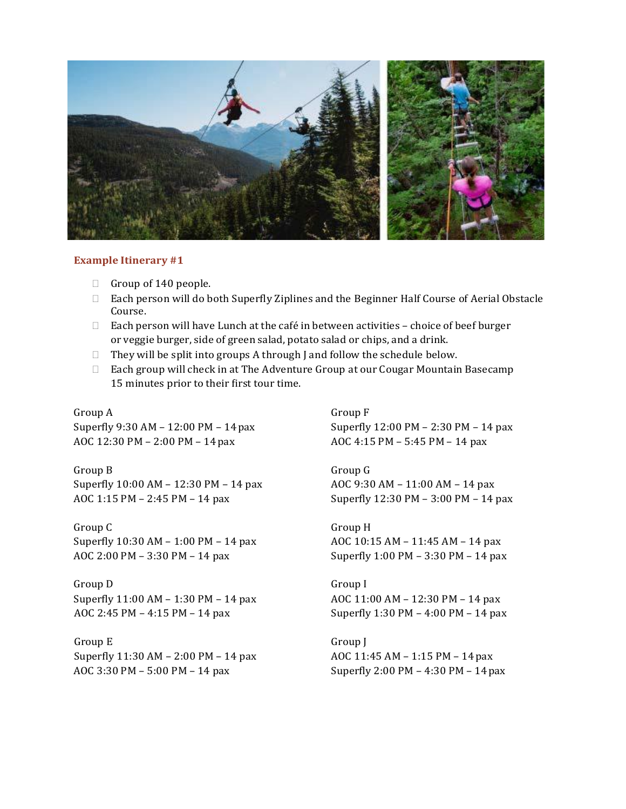

#### **Example Itinerary #1**

- Group of 140 people.
- Each person will do both Superfly Ziplines and the Beginner Half Course of Aerial Obstacle Course.
- $\Box$  Each person will have Lunch at the café in between activities choice of beef burger or veggie burger, side of green salad, potato salad or chips, and a drink.
- $\Box$  They will be split into groups A through J and follow the schedule below.
- $\Box$  Each group will check in at The Adventure Group at our Cougar Mountain Basecamp 15 minutes prior to their first tour time.

Group A Superfly 9:30 AM – 12:00 PM – 14pax AOC 12:30 PM – 2:00 PM – 14pax

Group B Superfly 10:00 AM – 12:30 PM – 14 pax AOC 1:15 PM – 2:45 PM – 14 pax

Group C Superfly 10:30 AM – 1:00 PM – 14 pax AOC 2:00 PM – 3:30 PM – 14 pax

Group D Superfly 11:00 AM – 1:30 PM – 14 pax AOC 2:45 PM – 4:15 PM – 14 pax

Group E Superfly 11:30 AM – 2:00 PM – 14 pax AOC 3:30 PM – 5:00 PM – 14 pax

Group F Superfly 12:00 PM – 2:30 PM – 14 pax AOC 4:15 PM – 5:45 PM – 14 pax

Group G AOC 9:30 AM – 11:00 AM – 14 pax Superfly 12:30 PM – 3:00 PM – 14 pax

Group H AOC 10:15 AM – 11:45 AM – 14 pax Superfly 1:00 PM – 3:30 PM – 14 pax

Group I AOC 11:00 AM – 12:30 PM – 14 pax Superfly 1:30 PM – 4:00 PM – 14 pax

Group J AOC 11:45 AM – 1:15 PM – 14pax Superfly 2:00 PM – 4:30 PM – 14pax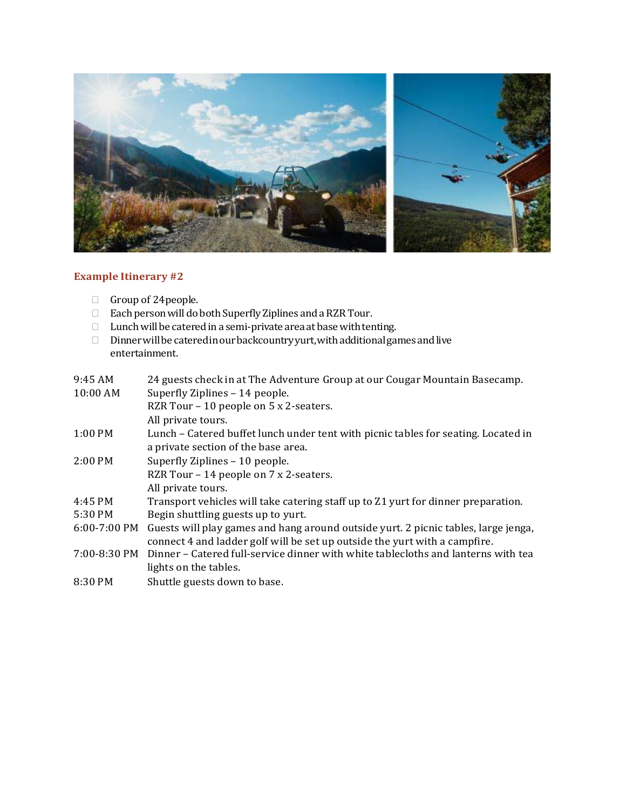

## **Example Itinerary #2**

- Group of 24 people.
- $\Box$  Each person will do both Superfly Ziplines and a RZR Tour.
- $\Box$  Lunch will be catered in a semi-private area at base with tenting.
- $\Box$  Dinner will be catered in our backcountry yurt, with additional games and live entertainment.

| 9:45 AM        | 24 guests check in at The Adventure Group at our Cougar Mountain Basecamp.         |
|----------------|------------------------------------------------------------------------------------|
| $10:00$ AM     | Superfly Ziplines - 14 people.                                                     |
|                | RZR Tour - 10 people on 5 x 2-seaters.                                             |
|                | All private tours.                                                                 |
| $1:00$ PM      | Lunch – Catered buffet lunch under tent with picnic tables for seating. Located in |
|                | a private section of the base area.                                                |
| $2:00$ PM      | Superfly Ziplines - 10 people.                                                     |
|                | RZR Tour - 14 people on 7 x 2-seaters.                                             |
|                | All private tours.                                                                 |
| 4:45 PM        | Transport vehicles will take catering staff up to Z1 yurt for dinner preparation.  |
| 5:30 PM        | Begin shuttling guests up to yurt.                                                 |
| $6:00-7:00$ PM | Guests will play games and hang around outside yurt. 2 picnic tables, large jenga, |
|                | connect 4 and ladder golf will be set up outside the yurt with a campfire.         |
| 7:00-8:30 PM   | Dinner - Catered full-service dinner with white tablecloths and lanterns with tea  |
|                | lights on the tables.                                                              |
| 8:30 PM        | Shuttle guests down to base.                                                       |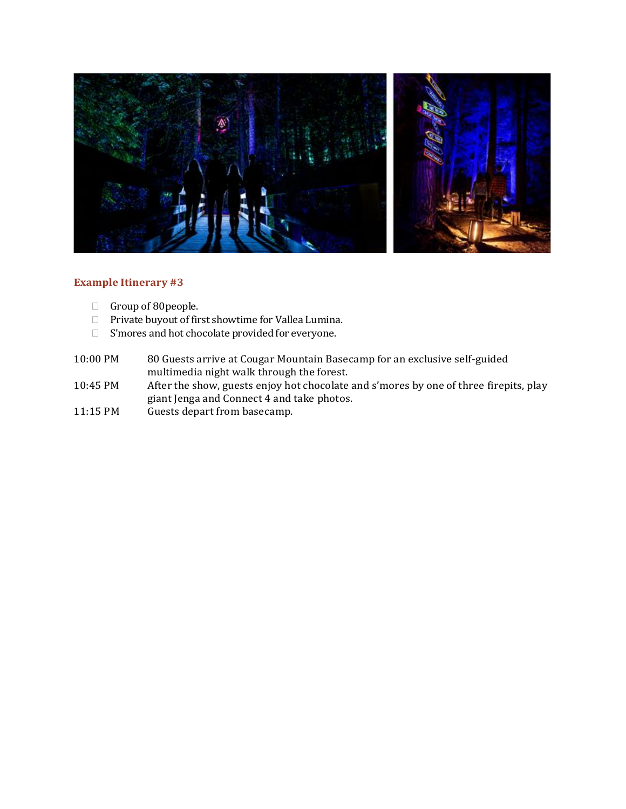

### **Example Itinerary #3**

- $\Box$  Group of 80 people.
- Private buyout of first showtime for Vallea Lumina.
- □ S'mores and hot chocolate provided for everyone.
- 10:00 PM 80 Guests arrive at Cougar Mountain Basecamp for an exclusive self-guided multimedia night walk through the forest.
- 10:45 PM After the show, guests enjoy hot chocolate and s'mores by one of three firepits, play giant Jenga and Connect 4 and take photos.
- 11:15 PM Guests depart from basecamp.